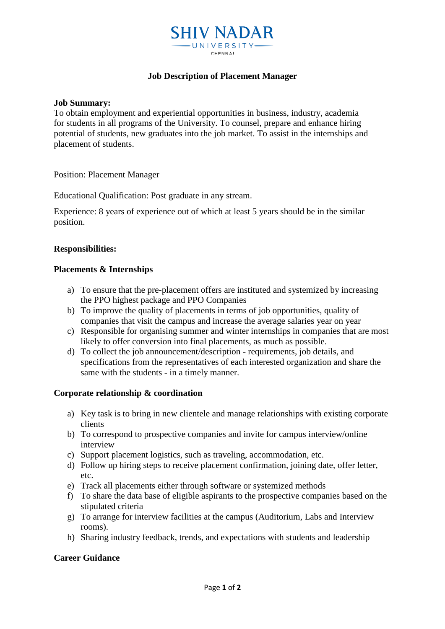

# **Job Description of Placement Manager**

**Job Summary:**

To obtain employment and experiential opportunities in business, industry, academia for students in all programs of the University. To counsel, prepare and enhance hiring potential of students, new graduates into the job market. To assist in the internships and placement of students.

Position: Placement Manager

Educational Qualification: Post graduate in any stream.

Experience: 8 years of experience out of which at least 5 years should be in the similar position.

# **Responsibilities:**

## **Placements & Internships**

- a) To ensure that the pre-placement offers are instituted and systemized by increasing the PPO highest package and PPO Companies
- b) To improve the quality of placements in terms of job opportunities, quality of companies that visit the campus and increase the average salaries year on year
- c) Responsible for organising summer and winter internships in companies that are most likely to offer conversion into final placements, as much as possible.
- d) To collect the job announcement/description requirements, job details, and specifications from the representatives of each interested organization and share the same with the students - in a timely manner.

## **Corporate relationship & coordination**

- a) Key task is to bring in new clientele and manage relationships with existing corporate clients
- b) To correspond to prospective companies and invite for campus interview/online interview
- c) Support placement logistics, such as traveling, accommodation, etc.
- d) Follow up hiring steps to receive placement confirmation, joining date, offer letter, etc.
- e) Track all placements either through software or systemized methods
- f) To share the data base of eligible aspirants to the prospective companies based on the stipulated criteria
- g) To arrange for interview facilities at the campus (Auditorium, Labs and Interview rooms).
- h) Sharing industry feedback, trends, and expectations with students and leadership

# **Career Guidance**